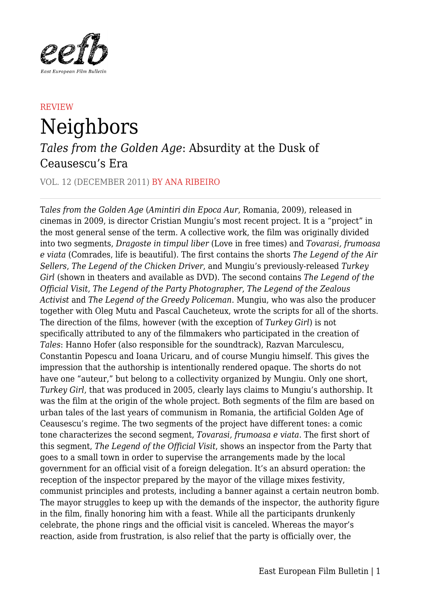

## **REVIEW** Neighbors

## *Tales from the Golden Age*: Absurdity at the Dusk of Ceausescu's Era

## VOL. 12 (DECEMBER 2011) BY ANA RIBEIRO

T*ales from the Golden Age* (*Amintiri din Epoca Aur*, Romania, 2009), released in cinemas in 2009, is director Cristian Mungiu's most recent project. It is a "project" in the most general sense of the term. A collective work, the film was originally divided into two segments, *Dragoste in timpul liber* (Love in free times) and *Tovarasi, frumoasa e viata* (Comrades, life is beautiful). The first contains the shorts *The Legend of the Air Sellers*, *The Legend of the Chicken Driver*, and Mungiu's previously-released *Turkey Girl* (shown in theaters and available as DVD). The second contains *The Legend of the Official Visit*, *The Legend of the Party Photographer*, *The Legend of the Zealous Activist* and *The Legend of the Greedy Policeman*. Mungiu, who was also the producer together with Oleg Mutu and Pascal Caucheteux, wrote the scripts for all of the shorts. The direction of the films, however (with the exception of *Turkey Girl*) is not specifically attributed to any of the filmmakers who participated in the creation of *Tales*: Hanno Hofer (also responsible for the soundtrack), Razvan Marculescu, Constantin Popescu and Ioana Uricaru, and of course Mungiu himself. This gives the impression that the authorship is intentionally rendered opaque. The shorts do not have one "auteur," but belong to a collectivity organized by Mungiu. Only one short, *Turkey Girl*, that was produced in 2005, clearly lays claims to Mungiu's authorship. It was the film at the origin of the whole project. Both segments of the film are based on urban tales of the last years of communism in Romania, the artificial Golden Age of Ceausescu's regime. The two segments of the project have different tones: a comic tone characterizes the second segment, *Tovarasi, frumoasa e viata*. The first short of this segment, *The Legend of the Official Visit*, shows an inspector from the Party that goes to a small town in order to supervise the arrangements made by the local government for an official visit of a foreign delegation. It's an absurd operation: the reception of the inspector prepared by the mayor of the village mixes festivity, communist principles and protests, including a banner against a certain neutron bomb. The mayor struggles to keep up with the demands of the inspector, the authority figure in the film, finally honoring him with a feast. While all the participants drunkenly celebrate, the phone rings and the official visit is canceled. Whereas the mayor's reaction, aside from frustration, is also relief that the party is officially over, the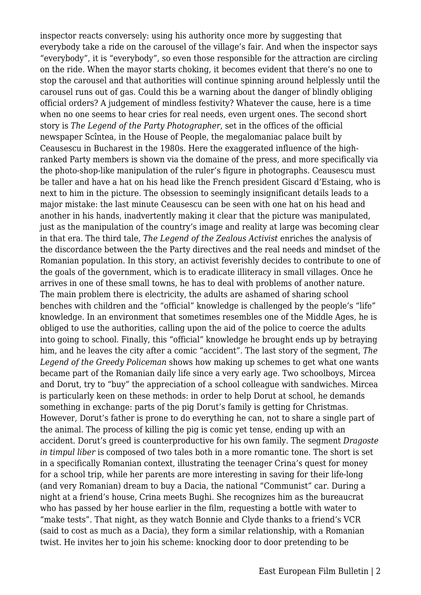inspector reacts conversely: using his authority once more by suggesting that everybody take a ride on the carousel of the village's fair. And when the inspector says "everybody", it is "everybody", so even those responsible for the attraction are circling on the ride. When the mayor starts choking, it becomes evident that there's no one to stop the carousel and that authorities will continue spinning around helplessly until the carousel runs out of gas. Could this be a warning about the danger of blindly obliging official orders? A judgement of mindless festivity? Whatever the cause, here is a time when no one seems to hear cries for real needs, even urgent ones. The second short story is *The Legend of the Party Photographer*, set in the offices of the official newspaper Scîntea, in the House of People, the megalomaniac palace built by Ceausescu in Bucharest in the 1980s. Here the exaggerated influence of the highranked Party members is shown via the domaine of the press, and more specifically via the photo-shop-like manipulation of the ruler's figure in photographs. Ceausescu must be taller and have a hat on his head like the French president Giscard d'Estaing, who is next to him in the picture. The obsession to seemingly insignificant details leads to a major mistake: the last minute Ceausescu can be seen with one hat on his head and another in his hands, inadvertently making it clear that the picture was manipulated, just as the manipulation of the country's image and reality at large was becoming clear in that era. The third tale, *The Legend of the Zealous Activist* enriches the analysis of the discordance between the the Party directives and the real needs and mindset of the Romanian population. In this story, an activist feverishly decides to contribute to one of the goals of the government, which is to eradicate illiteracy in small villages. Once he arrives in one of these small towns, he has to deal with problems of another nature. The main problem there is electricity, the adults are ashamed of sharing school benches with children and the "official" knowledge is challenged by the people's "life" knowledge. In an environment that sometimes resembles one of the Middle Ages, he is obliged to use the authorities, calling upon the aid of the police to coerce the adults into going to school. Finally, this "official" knowledge he brought ends up by betraying him, and he leaves the city after a comic "accident". The last story of the segment, *The Legend of the Greedy Policeman* shows how making up schemes to get what one wants became part of the Romanian daily life since a very early age. Two schoolboys, Mircea and Dorut, try to "buy" the appreciation of a school colleague with sandwiches. Mircea is particularly keen on these methods: in order to help Dorut at school, he demands something in exchange: parts of the pig Dorut's family is getting for Christmas. However, Dorut's father is prone to do everything he can, not to share a single part of the animal. The process of killing the pig is comic yet tense, ending up with an accident. Dorut's greed is counterproductive for his own family. The segment *Dragoste in timpul liber* is composed of two tales both in a more romantic tone. The short is set in a specifically Romanian context, illustrating the teenager Crina's quest for money for a school trip, while her parents are more interesting in saving for their life-long (and very Romanian) dream to buy a Dacia, the national "Communist" car. During a night at a friend's house, Crina meets Bughi. She recognizes him as the bureaucrat who has passed by her house earlier in the film, requesting a bottle with water to "make tests". That night, as they watch Bonnie and Clyde thanks to a friend's VCR (said to cost as much as a Dacia), they form a similar relationship, with a Romanian twist. He invites her to join his scheme: knocking door to door pretending to be